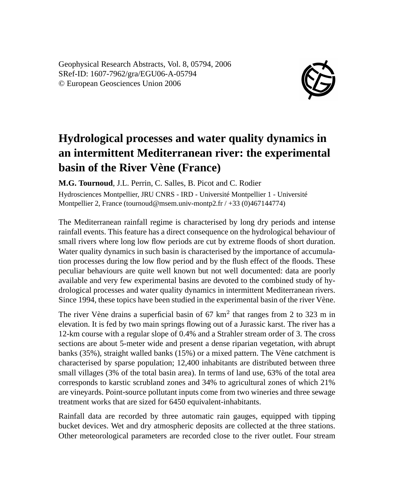Geophysical Research Abstracts, Vol. 8, 05794, 2006 SRef-ID: 1607-7962/gra/EGU06-A-05794 © European Geosciences Union 2006



## **Hydrological processes and water quality dynamics in an intermittent Mediterranean river: the experimental basin of the River Vène (France)**

**M.G. Tournoud**, J.L. Perrin, C. Salles, B. Picot and C. Rodier Hydrosciences Montpellier, JRU CNRS - IRD - Université Montpellier 1 - Université Montpellier 2, France (tournoud@msem.univ-montp2.fr / +33 (0)467144774)

The Mediterranean rainfall regime is characterised by long dry periods and intense rainfall events. This feature has a direct consequence on the hydrological behaviour of small rivers where long low flow periods are cut by extreme floods of short duration. Water quality dynamics in such basin is characterised by the importance of accumulation processes during the low flow period and by the flush effect of the floods. These peculiar behaviours are quite well known but not well documented: data are poorly available and very few experimental basins are devoted to the combined study of hydrological processes and water quality dynamics in intermittent Mediterranean rivers. Since 1994, these topics have been studied in the experimental basin of the river Vène.

The river Vène drains a superficial basin of  $67 \text{ km}^2$  that ranges from 2 to 323 m in elevation. It is fed by two main springs flowing out of a Jurassic karst. The river has a 12-km course with a regular slope of 0.4% and a Strahler stream order of 3. The cross sections are about 5-meter wide and present a dense riparian vegetation, with abrupt banks (35%), straight walled banks (15%) or a mixed pattern. The Vène catchment is characterised by sparse population; 12,400 inhabitants are distributed between three small villages (3% of the total basin area). In terms of land use, 63% of the total area corresponds to karstic scrubland zones and 34% to agricultural zones of which 21% are vineyards. Point-source pollutant inputs come from two wineries and three sewage treatment works that are sized for 6450 equivalent-inhabitants.

Rainfall data are recorded by three automatic rain gauges, equipped with tipping bucket devices. Wet and dry atmospheric deposits are collected at the three stations. Other meteorological parameters are recorded close to the river outlet. Four stream